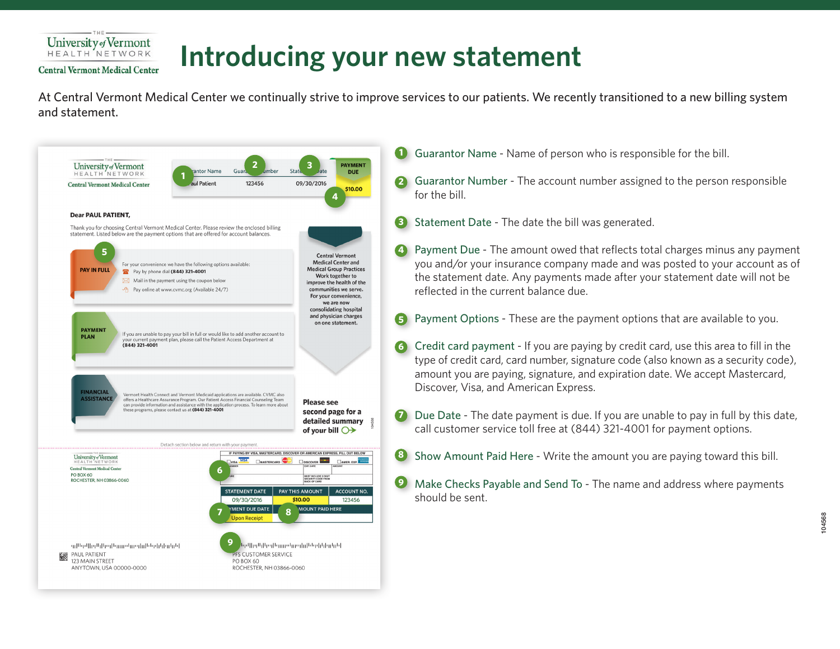## **Introducing your new statement**

**1**

At Central Vermont Medical Center we continually strive to improve services to our patients. We recently transitioned to a new billing system

and statement.

University of Vermont HEALTH NETWORK **Central Vermont Medical Center** 



- Guarantor Name Name of person who is responsible for the bill.
- 2 Guarantor Number The account number assigned to the person responsible for the bill.
- Statement Date The date the bill was generated. **3**
- 4 Payment Due The amount owed that reflects total charges minus any payment you and/or your insurance company made and was posted to your account as of the statement date. Any payments made after your statement date will not be reflected in the current balance due.
- Payment Options These are the payment options that are available to you. **5**
- Credit card payment If you are paying by credit card, use this area to fill in the type of credit card, card number, signature code (also known as a security code), amount you are paying, signature, and expiration date. We accept Mastercard, Discover, Visa, and American Express. **6**
- **D** Due Date The date payment is due. If you are unable to pay in full by this date, call customer service toll free at (844) 321-4001 for payment options.
- Show Amount Paid Here Write the amount you are paying toward this bill. **8**
- **9** Make Checks Payable and Send To The name and address where payments should be sent.